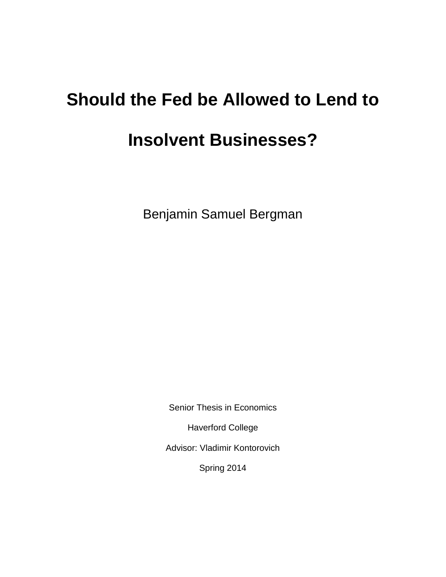# **Should the Fed be Allowed to Lend to**

# **Insolvent Businesses?**

Benjamin Samuel Bergman

Senior Thesis in Economics

Haverford College

Advisor: Vladimir Kontorovich

Spring 2014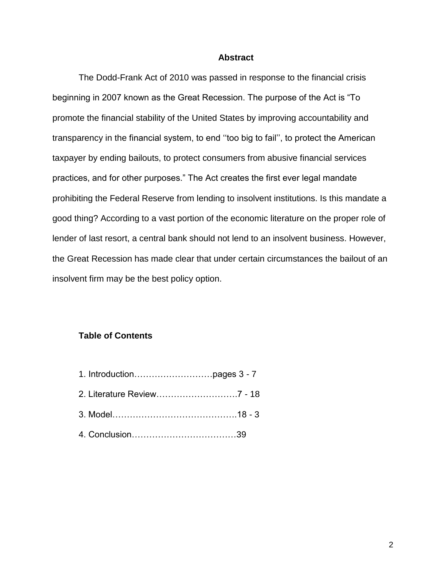#### **Abstract**

The Dodd-Frank Act of 2010 was passed in response to the financial crisis beginning in 2007 known as the Great Recession. The purpose of the Act is "To promote the financial stability of the United States by improving accountability and transparency in the financial system, to end ''too big to fail'', to protect the American taxpayer by ending bailouts, to protect consumers from abusive financial services practices, and for other purposes." The Act creates the first ever legal mandate prohibiting the Federal Reserve from lending to insolvent institutions. Is this mandate a good thing? According to a vast portion of the economic literature on the proper role of lender of last resort, a central bank should not lend to an insolvent business. However, the Great Recession has made clear that under certain circumstances the bailout of an insolvent firm may be the best policy option.

#### **Table of Contents**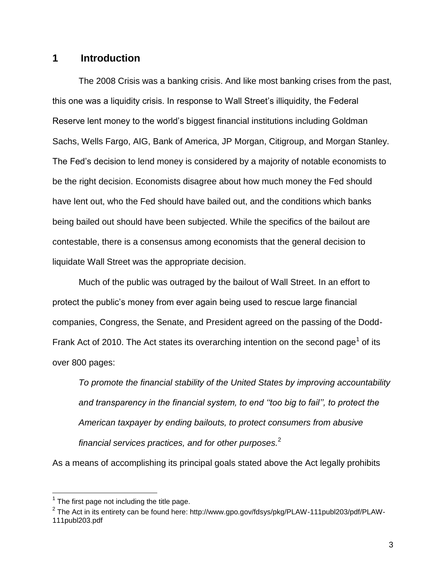# **1 Introduction**

The 2008 Crisis was a banking crisis. And like most banking crises from the past, this one was a liquidity crisis. In response to Wall Street's illiquidity, the Federal Reserve lent money to the world's biggest financial institutions including Goldman Sachs, Wells Fargo, AIG, Bank of America, JP Morgan, Citigroup, and Morgan Stanley. The Fed's decision to lend money is considered by a majority of notable economists to be the right decision. Economists disagree about how much money the Fed should have lent out, who the Fed should have bailed out, and the conditions which banks being bailed out should have been subjected. While the specifics of the bailout are contestable, there is a consensus among economists that the general decision to liquidate Wall Street was the appropriate decision.

Much of the public was outraged by the bailout of Wall Street. In an effort to protect the public's money from ever again being used to rescue large financial companies, Congress, the Senate, and President agreed on the passing of the Dodd-Frank Act of 2010. The Act states its overarching intention on the second page<sup>1</sup> of its over 800 pages:

*To promote the financial stability of the United States by improving accountability and transparency in the financial system, to end ''too big to fail'', to protect the American taxpayer by ending bailouts, to protect consumers from abusive financial services practices, and for other purposes.*<sup>2</sup>

As a means of accomplishing its principal goals stated above the Act legally prohibits

 $1$  The first page not including the title page.

 $^{\text{2}}$  The Act in its entirety can be found here: http://www.gpo.gov/fdsys/pkg/PLAW-111publ203/pdf/PLAW-111publ203.pdf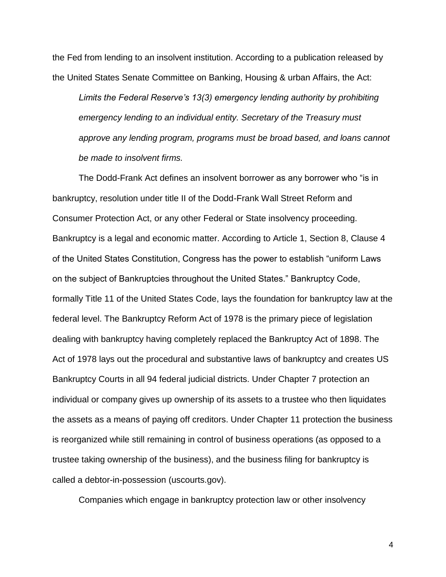the Fed from lending to an insolvent institution. According to a publication released by the United States Senate Committee on Banking, Housing & urban Affairs, the Act:

*Limits the Federal Reserve's 13(3) emergency lending authority by prohibiting emergency lending to an individual entity. Secretary of the Treasury must approve any lending program, programs must be broad based, and loans cannot be made to insolvent firms.*

The Dodd-Frank Act defines an insolvent borrower as any borrower who "is in bankruptcy, resolution under title II of the Dodd-Frank Wall Street Reform and Consumer Protection Act, or any other Federal or State insolvency proceeding. Bankruptcy is a legal and economic matter. According to Article 1, Section 8, Clause 4 of the United States Constitution, Congress has the power to establish "uniform Laws on the subject of Bankruptcies throughout the United States." Bankruptcy Code, formally Title 11 of the United States Code, lays the foundation for bankruptcy law at the federal level. The Bankruptcy Reform Act of 1978 is the primary piece of legislation dealing with bankruptcy having completely replaced the Bankruptcy Act of 1898. The Act of 1978 lays out the procedural and substantive laws of bankruptcy and creates US Bankruptcy Courts in all 94 federal judicial districts. Under Chapter 7 protection an individual or company gives up ownership of its assets to a trustee who then liquidates the assets as a means of paying off creditors. Under Chapter 11 protection the business is reorganized while still remaining in control of business operations (as opposed to a trustee taking ownership of the business), and the business filing for bankruptcy is called a debtor-in-possession (uscourts.gov).

Companies which engage in bankruptcy protection law or other insolvency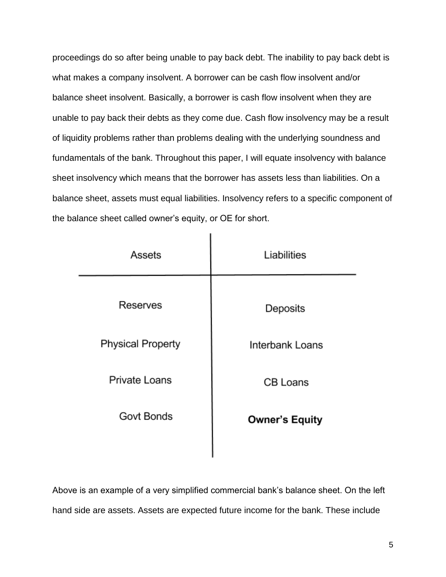proceedings do so after being unable to pay back debt. The inability to pay back debt is what makes a company insolvent. A borrower can be cash flow insolvent and/or balance sheet insolvent. Basically, a borrower is cash flow insolvent when they are unable to pay back their debts as they come due. Cash flow insolvency may be a result of liquidity problems rather than problems dealing with the underlying soundness and fundamentals of the bank. Throughout this paper, I will equate insolvency with balance sheet insolvency which means that the borrower has assets less than liabilities. On a balance sheet, assets must equal liabilities. Insolvency refers to a specific component of the balance sheet called owner's equity, or OE for short.

| Assets                   | Liabilities           |
|--------------------------|-----------------------|
| Reserves                 | Deposits              |
| <b>Physical Property</b> | Interbank Loans       |
| <b>Private Loans</b>     | <b>CB Loans</b>       |
| Govt Bonds               | <b>Owner's Equity</b> |
|                          |                       |

×

Above is an example of a very simplified commercial bank's balance sheet. On the left hand side are assets. Assets are expected future income for the bank. These include

I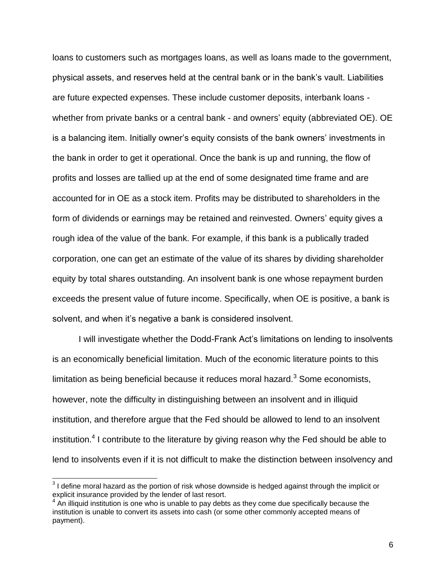loans to customers such as mortgages loans, as well as loans made to the government, physical assets, and reserves held at the central bank or in the bank's vault. Liabilities are future expected expenses. These include customer deposits, interbank loans whether from private banks or a central bank - and owners' equity (abbreviated OE). OE is a balancing item. Initially owner's equity consists of the bank owners' investments in the bank in order to get it operational. Once the bank is up and running, the flow of profits and losses are tallied up at the end of some designated time frame and are accounted for in OE as a stock item. Profits may be distributed to shareholders in the form of dividends or earnings may be retained and reinvested. Owners' equity gives a rough idea of the value of the bank. For example, if this bank is a publically traded corporation, one can get an estimate of the value of its shares by dividing shareholder equity by total shares outstanding. An insolvent bank is one whose repayment burden exceeds the present value of future income. Specifically, when OE is positive, a bank is solvent, and when it's negative a bank is considered insolvent.

I will investigate whether the Dodd-Frank Act's limitations on lending to insolvents is an economically beneficial limitation. Much of the economic literature points to this limitation as being beneficial because it reduces moral hazard. $3$  Some economists, however, note the difficulty in distinguishing between an insolvent and in illiquid institution, and therefore argue that the Fed should be allowed to lend to an insolvent institution.<sup>4</sup> I contribute to the literature by giving reason why the Fed should be able to lend to insolvents even if it is not difficult to make the distinction between insolvency and

 3 I define moral hazard as the portion of risk whose downside is hedged against through the implicit or explicit insurance provided by the lender of last resort.

 $4$  An illiquid institution is one who is unable to pay debts as they come due specifically because the institution is unable to convert its assets into cash (or some other commonly accepted means of payment).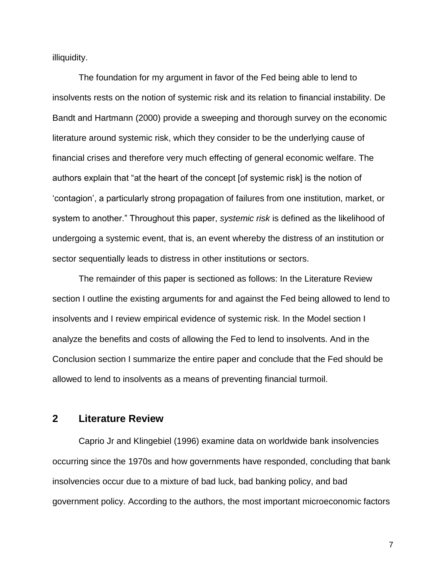illiquidity.

The foundation for my argument in favor of the Fed being able to lend to insolvents rests on the notion of systemic risk and its relation to financial instability. De Bandt and Hartmann (2000) provide a sweeping and thorough survey on the economic literature around systemic risk, which they consider to be the underlying cause of financial crises and therefore very much effecting of general economic welfare. The authors explain that "at the heart of the concept [of systemic risk] is the notion of 'contagion', a particularly strong propagation of failures from one institution, market, or system to another." Throughout this paper, *systemic risk* is defined as the likelihood of undergoing a systemic event, that is, an event whereby the distress of an institution or sector sequentially leads to distress in other institutions or sectors.

The remainder of this paper is sectioned as follows: In the Literature Review section I outline the existing arguments for and against the Fed being allowed to lend to insolvents and I review empirical evidence of systemic risk. In the Model section I analyze the benefits and costs of allowing the Fed to lend to insolvents. And in the Conclusion section I summarize the entire paper and conclude that the Fed should be allowed to lend to insolvents as a means of preventing financial turmoil.

# **2 Literature Review**

Caprio Jr and Klingebiel (1996) examine data on worldwide bank insolvencies occurring since the 1970s and how governments have responded, concluding that bank insolvencies occur due to a mixture of bad luck, bad banking policy, and bad government policy. According to the authors, the most important microeconomic factors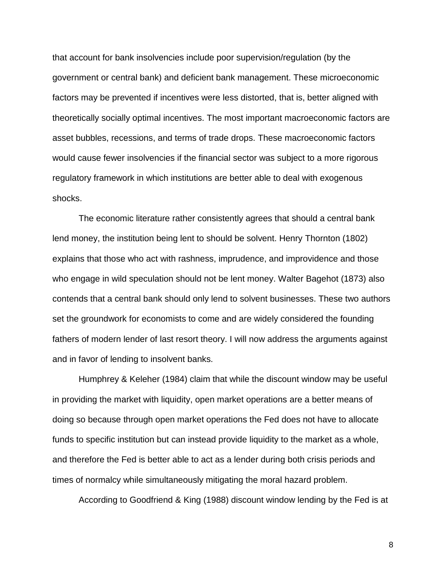that account for bank insolvencies include poor supervision/regulation (by the government or central bank) and deficient bank management. These microeconomic factors may be prevented if incentives were less distorted, that is, better aligned with theoretically socially optimal incentives. The most important macroeconomic factors are asset bubbles, recessions, and terms of trade drops. These macroeconomic factors would cause fewer insolvencies if the financial sector was subject to a more rigorous regulatory framework in which institutions are better able to deal with exogenous shocks.

The economic literature rather consistently agrees that should a central bank lend money, the institution being lent to should be solvent. Henry Thornton (1802) explains that those who act with rashness, imprudence, and improvidence and those who engage in wild speculation should not be lent money. Walter Bagehot (1873) also contends that a central bank should only lend to solvent businesses. These two authors set the groundwork for economists to come and are widely considered the founding fathers of modern lender of last resort theory. I will now address the arguments against and in favor of lending to insolvent banks.

Humphrey & Keleher (1984) claim that while the discount window may be useful in providing the market with liquidity, open market operations are a better means of doing so because through open market operations the Fed does not have to allocate funds to specific institution but can instead provide liquidity to the market as a whole, and therefore the Fed is better able to act as a lender during both crisis periods and times of normalcy while simultaneously mitigating the moral hazard problem.

According to Goodfriend & King (1988) discount window lending by the Fed is at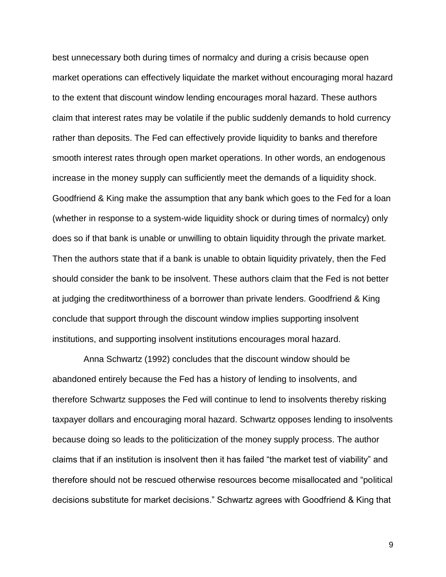best unnecessary both during times of normalcy and during a crisis because open market operations can effectively liquidate the market without encouraging moral hazard to the extent that discount window lending encourages moral hazard. These authors claim that interest rates may be volatile if the public suddenly demands to hold currency rather than deposits. The Fed can effectively provide liquidity to banks and therefore smooth interest rates through open market operations. In other words, an endogenous increase in the money supply can sufficiently meet the demands of a liquidity shock. Goodfriend & King make the assumption that any bank which goes to the Fed for a loan (whether in response to a system-wide liquidity shock or during times of normalcy) only does so if that bank is unable or unwilling to obtain liquidity through the private market. Then the authors state that if a bank is unable to obtain liquidity privately, then the Fed should consider the bank to be insolvent. These authors claim that the Fed is not better at judging the creditworthiness of a borrower than private lenders. Goodfriend & King conclude that support through the discount window implies supporting insolvent institutions, and supporting insolvent institutions encourages moral hazard.

 Anna Schwartz (1992) concludes that the discount window should be abandoned entirely because the Fed has a history of lending to insolvents, and therefore Schwartz supposes the Fed will continue to lend to insolvents thereby risking taxpayer dollars and encouraging moral hazard. Schwartz opposes lending to insolvents because doing so leads to the politicization of the money supply process. The author claims that if an institution is insolvent then it has failed "the market test of viability" and therefore should not be rescued otherwise resources become misallocated and "political decisions substitute for market decisions." Schwartz agrees with Goodfriend & King that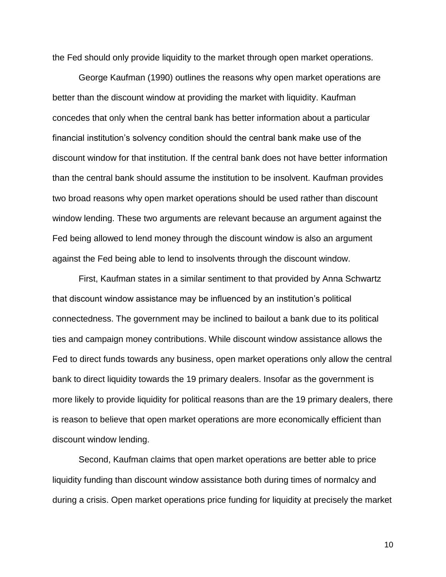the Fed should only provide liquidity to the market through open market operations.

George Kaufman (1990) outlines the reasons why open market operations are better than the discount window at providing the market with liquidity. Kaufman concedes that only when the central bank has better information about a particular financial institution's solvency condition should the central bank make use of the discount window for that institution. If the central bank does not have better information than the central bank should assume the institution to be insolvent. Kaufman provides two broad reasons why open market operations should be used rather than discount window lending. These two arguments are relevant because an argument against the Fed being allowed to lend money through the discount window is also an argument against the Fed being able to lend to insolvents through the discount window.

First, Kaufman states in a similar sentiment to that provided by Anna Schwartz that discount window assistance may be influenced by an institution's political connectedness. The government may be inclined to bailout a bank due to its political ties and campaign money contributions. While discount window assistance allows the Fed to direct funds towards any business, open market operations only allow the central bank to direct liquidity towards the 19 primary dealers. Insofar as the government is more likely to provide liquidity for political reasons than are the 19 primary dealers, there is reason to believe that open market operations are more economically efficient than discount window lending.

Second, Kaufman claims that open market operations are better able to price liquidity funding than discount window assistance both during times of normalcy and during a crisis. Open market operations price funding for liquidity at precisely the market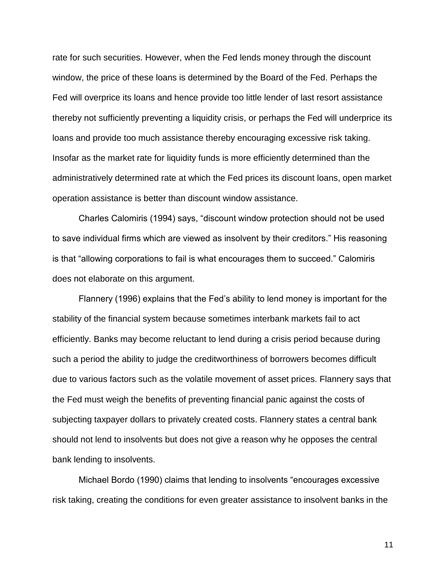rate for such securities. However, when the Fed lends money through the discount window, the price of these loans is determined by the Board of the Fed. Perhaps the Fed will overprice its loans and hence provide too little lender of last resort assistance thereby not sufficiently preventing a liquidity crisis, or perhaps the Fed will underprice its loans and provide too much assistance thereby encouraging excessive risk taking. Insofar as the market rate for liquidity funds is more efficiently determined than the administratively determined rate at which the Fed prices its discount loans, open market operation assistance is better than discount window assistance.

Charles Calomiris (1994) says, "discount window protection should not be used to save individual firms which are viewed as insolvent by their creditors." His reasoning is that "allowing corporations to fail is what encourages them to succeed." Calomiris does not elaborate on this argument.

Flannery (1996) explains that the Fed's ability to lend money is important for the stability of the financial system because sometimes interbank markets fail to act efficiently. Banks may become reluctant to lend during a crisis period because during such a period the ability to judge the creditworthiness of borrowers becomes difficult due to various factors such as the volatile movement of asset prices. Flannery says that the Fed must weigh the benefits of preventing financial panic against the costs of subjecting taxpayer dollars to privately created costs. Flannery states a central bank should not lend to insolvents but does not give a reason why he opposes the central bank lending to insolvents.

Michael Bordo (1990) claims that lending to insolvents "encourages excessive risk taking, creating the conditions for even greater assistance to insolvent banks in the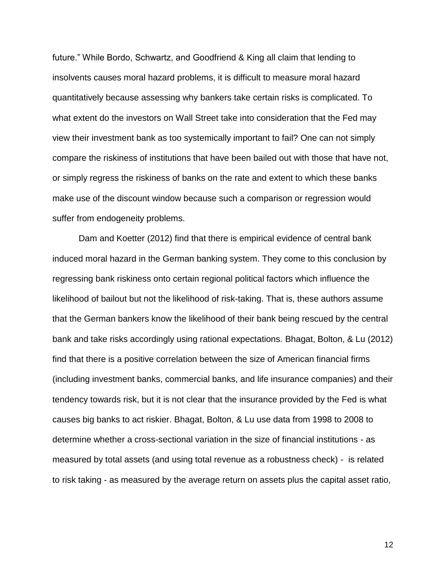future." While Bordo, Schwartz, and Goodfriend & King all claim that lending to insolvents causes moral hazard problems, it is difficult to measure moral hazard quantitatively because assessing why bankers take certain risks is complicated. To what extent do the investors on Wall Street take into consideration that the Fed may view their investment bank as too systemically important to fail? One can not simply compare the riskiness of institutions that have been bailed out with those that have not, or simply regress the riskiness of banks on the rate and extent to which these banks make use of the discount window because such a comparison or regression would suffer from endogeneity problems.

Dam and Koetter (2012) find that there is empirical evidence of central bank induced moral hazard in the German banking system. They come to this conclusion by regressing bank riskiness onto certain regional political factors which influence the likelihood of bailout but not the likelihood of risk-taking. That is, these authors assume that the German bankers know the likelihood of their bank being rescued by the central bank and take risks accordingly using rational expectations. Bhagat, Bolton, & Lu (2012) find that there is a positive correlation between the size of American financial firms (including investment banks, commercial banks, and life insurance companies) and their tendency towards risk, but it is not clear that the insurance provided by the Fed is what causes big banks to act riskier. Bhagat, Bolton, & Lu use data from 1998 to 2008 to determine whether a cross-sectional variation in the size of financial institutions - as measured by total assets (and using total revenue as a robustness check) - is related to risk taking - as measured by the average return on assets plus the capital asset ratio,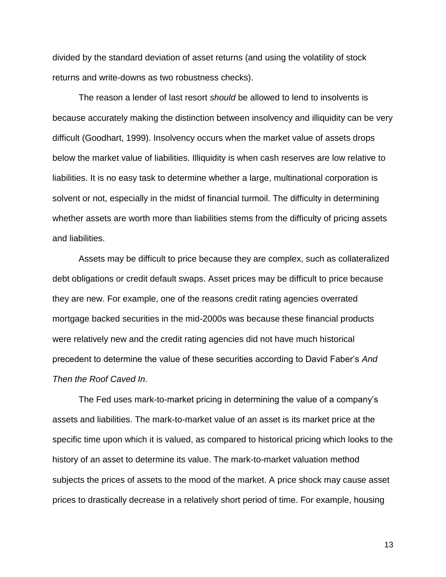divided by the standard deviation of asset returns (and using the volatility of stock returns and write-downs as two robustness checks).

The reason a lender of last resort *should* be allowed to lend to insolvents is because accurately making the distinction between insolvency and illiquidity can be very difficult (Goodhart, 1999). Insolvency occurs when the market value of assets drops below the market value of liabilities. Illiquidity is when cash reserves are low relative to liabilities. It is no easy task to determine whether a large, multinational corporation is solvent or not, especially in the midst of financial turmoil. The difficulty in determining whether assets are worth more than liabilities stems from the difficulty of pricing assets and liabilities.

Assets may be difficult to price because they are complex, such as collateralized debt obligations or credit default swaps. Asset prices may be difficult to price because they are new. For example, one of the reasons credit rating agencies overrated mortgage backed securities in the mid-2000s was because these financial products were relatively new and the credit rating agencies did not have much historical precedent to determine the value of these securities according to David Faber's *And Then the Roof Caved In.*

The Fed uses mark-to-market pricing in determining the value of a company's assets and liabilities. The mark-to-market value of an asset is its market price at the specific time upon which it is valued, as compared to historical pricing which looks to the history of an asset to determine its value. The mark-to-market valuation method subjects the prices of assets to the mood of the market. A price shock may cause asset prices to drastically decrease in a relatively short period of time. For example, housing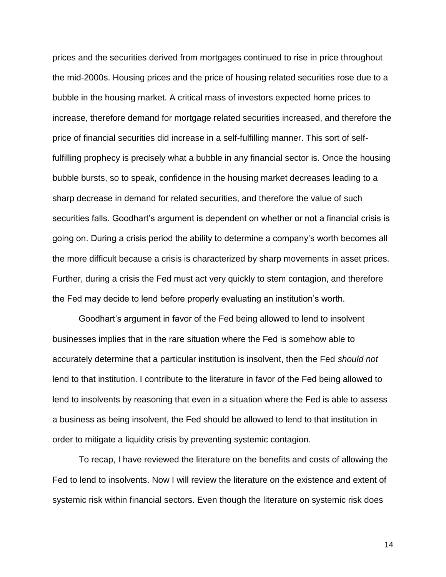prices and the securities derived from mortgages continued to rise in price throughout the mid-2000s. Housing prices and the price of housing related securities rose due to a bubble in the housing market. A critical mass of investors expected home prices to increase, therefore demand for mortgage related securities increased, and therefore the price of financial securities did increase in a self-fulfilling manner. This sort of selffulfilling prophecy is precisely what a bubble in any financial sector is. Once the housing bubble bursts, so to speak, confidence in the housing market decreases leading to a sharp decrease in demand for related securities, and therefore the value of such securities falls. Goodhart's argument is dependent on whether or not a financial crisis is going on. During a crisis period the ability to determine a company's worth becomes all the more difficult because a crisis is characterized by sharp movements in asset prices. Further, during a crisis the Fed must act very quickly to stem contagion, and therefore the Fed may decide to lend before properly evaluating an institution's worth.

Goodhart's argument in favor of the Fed being allowed to lend to insolvent businesses implies that in the rare situation where the Fed is somehow able to accurately determine that a particular institution is insolvent, then the Fed *should not* lend to that institution. I contribute to the literature in favor of the Fed being allowed to lend to insolvents by reasoning that even in a situation where the Fed is able to assess a business as being insolvent, the Fed should be allowed to lend to that institution in order to mitigate a liquidity crisis by preventing systemic contagion.

To recap, I have reviewed the literature on the benefits and costs of allowing the Fed to lend to insolvents. Now I will review the literature on the existence and extent of systemic risk within financial sectors. Even though the literature on systemic risk does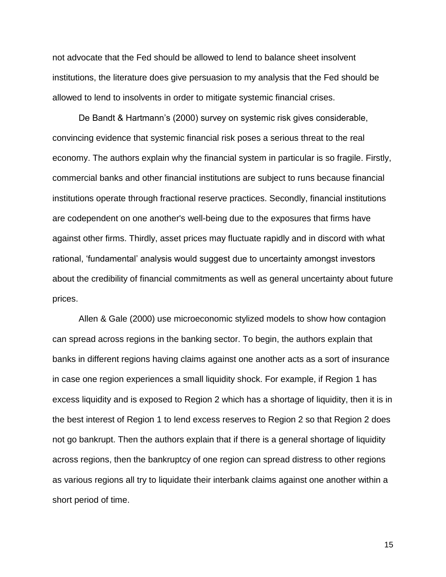not advocate that the Fed should be allowed to lend to balance sheet insolvent institutions, the literature does give persuasion to my analysis that the Fed should be allowed to lend to insolvents in order to mitigate systemic financial crises.

De Bandt & Hartmann's (2000) survey on systemic risk gives considerable, convincing evidence that systemic financial risk poses a serious threat to the real economy. The authors explain why the financial system in particular is so fragile. Firstly, commercial banks and other financial institutions are subject to runs because financial institutions operate through fractional reserve practices. Secondly, financial institutions are codependent on one another's well-being due to the exposures that firms have against other firms. Thirdly, asset prices may fluctuate rapidly and in discord with what rational, 'fundamental' analysis would suggest due to uncertainty amongst investors about the credibility of financial commitments as well as general uncertainty about future prices.

Allen & Gale (2000) use microeconomic stylized models to show how contagion can spread across regions in the banking sector. To begin, the authors explain that banks in different regions having claims against one another acts as a sort of insurance in case one region experiences a small liquidity shock. For example, if Region 1 has excess liquidity and is exposed to Region 2 which has a shortage of liquidity, then it is in the best interest of Region 1 to lend excess reserves to Region 2 so that Region 2 does not go bankrupt. Then the authors explain that if there is a general shortage of liquidity across regions, then the bankruptcy of one region can spread distress to other regions as various regions all try to liquidate their interbank claims against one another within a short period of time.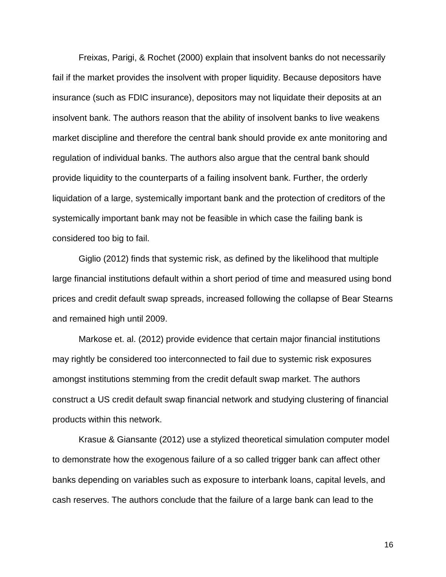Freixas, Parigi, & Rochet (2000) explain that insolvent banks do not necessarily fail if the market provides the insolvent with proper liquidity. Because depositors have insurance (such as FDIC insurance), depositors may not liquidate their deposits at an insolvent bank. The authors reason that the ability of insolvent banks to live weakens market discipline and therefore the central bank should provide ex ante monitoring and regulation of individual banks. The authors also argue that the central bank should provide liquidity to the counterparts of a failing insolvent bank. Further, the orderly liquidation of a large, systemically important bank and the protection of creditors of the systemically important bank may not be feasible in which case the failing bank is considered too big to fail.

Giglio (2012) finds that systemic risk, as defined by the likelihood that multiple large financial institutions default within a short period of time and measured using bond prices and credit default swap spreads, increased following the collapse of Bear Stearns and remained high until 2009.

Markose et. al. (2012) provide evidence that certain major financial institutions may rightly be considered too interconnected to fail due to systemic risk exposures amongst institutions stemming from the credit default swap market. The authors construct a US credit default swap financial network and studying clustering of financial products within this network.

Krasue & Giansante (2012) use a stylized theoretical simulation computer model to demonstrate how the exogenous failure of a so called trigger bank can affect other banks depending on variables such as exposure to interbank loans, capital levels, and cash reserves. The authors conclude that the failure of a large bank can lead to the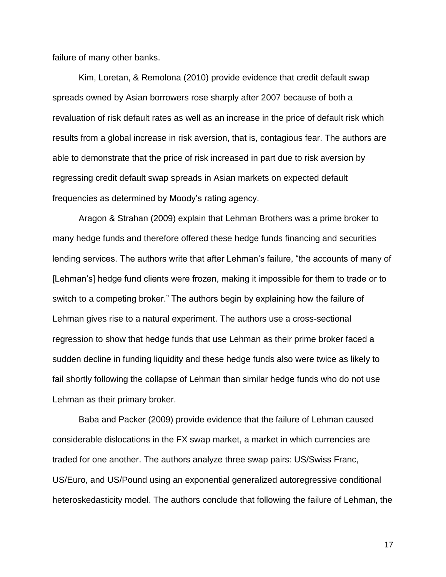failure of many other banks.

Kim, Loretan, & Remolona (2010) provide evidence that credit default swap spreads owned by Asian borrowers rose sharply after 2007 because of both a revaluation of risk default rates as well as an increase in the price of default risk which results from a global increase in risk aversion, that is, contagious fear. The authors are able to demonstrate that the price of risk increased in part due to risk aversion by regressing credit default swap spreads in Asian markets on expected default frequencies as determined by Moody's rating agency.

Aragon & Strahan (2009) explain that Lehman Brothers was a prime broker to many hedge funds and therefore offered these hedge funds financing and securities lending services. The authors write that after Lehman's failure, "the accounts of many of [Lehman's] hedge fund clients were frozen, making it impossible for them to trade or to switch to a competing broker." The authors begin by explaining how the failure of Lehman gives rise to a natural experiment. The authors use a cross-sectional regression to show that hedge funds that use Lehman as their prime broker faced a sudden decline in funding liquidity and these hedge funds also were twice as likely to fail shortly following the collapse of Lehman than similar hedge funds who do not use Lehman as their primary broker.

Baba and Packer (2009) provide evidence that the failure of Lehman caused considerable dislocations in the FX swap market, a market in which currencies are traded for one another. The authors analyze three swap pairs: US/Swiss Franc, US/Euro, and US/Pound using an exponential generalized autoregressive conditional heteroskedasticity model. The authors conclude that following the failure of Lehman, the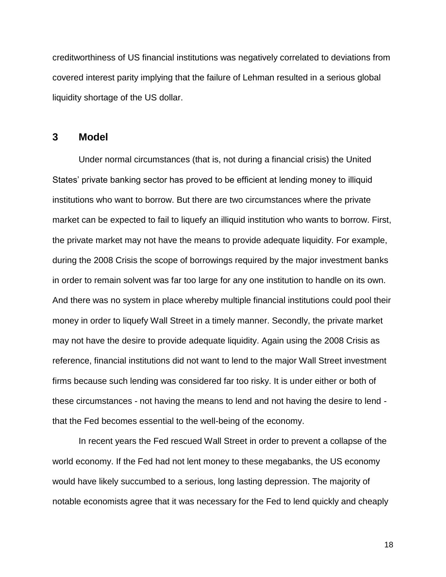creditworthiness of US financial institutions was negatively correlated to deviations from covered interest parity implying that the failure of Lehman resulted in a serious global liquidity shortage of the US dollar.

# **3 Model**

Under normal circumstances (that is, not during a financial crisis) the United States' private banking sector has proved to be efficient at lending money to illiquid institutions who want to borrow. But there are two circumstances where the private market can be expected to fail to liquefy an illiquid institution who wants to borrow. First, the private market may not have the means to provide adequate liquidity. For example, during the 2008 Crisis the scope of borrowings required by the major investment banks in order to remain solvent was far too large for any one institution to handle on its own. And there was no system in place whereby multiple financial institutions could pool their money in order to liquefy Wall Street in a timely manner. Secondly, the private market may not have the desire to provide adequate liquidity. Again using the 2008 Crisis as reference, financial institutions did not want to lend to the major Wall Street investment firms because such lending was considered far too risky. It is under either or both of these circumstances - not having the means to lend and not having the desire to lend that the Fed becomes essential to the well-being of the economy.

In recent years the Fed rescued Wall Street in order to prevent a collapse of the world economy. If the Fed had not lent money to these megabanks, the US economy would have likely succumbed to a serious, long lasting depression. The majority of notable economists agree that it was necessary for the Fed to lend quickly and cheaply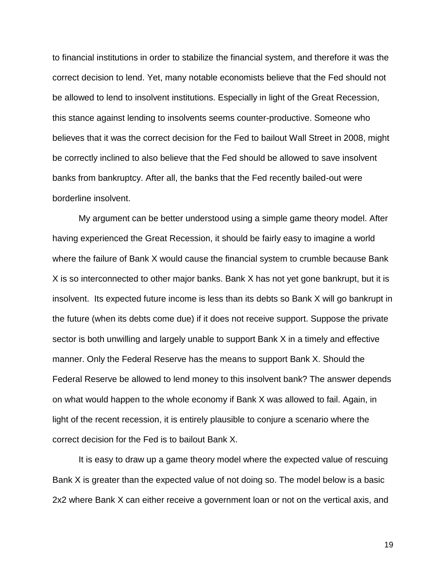to financial institutions in order to stabilize the financial system, and therefore it was the correct decision to lend. Yet, many notable economists believe that the Fed should not be allowed to lend to insolvent institutions. Especially in light of the Great Recession, this stance against lending to insolvents seems counter-productive. Someone who believes that it was the correct decision for the Fed to bailout Wall Street in 2008, might be correctly inclined to also believe that the Fed should be allowed to save insolvent banks from bankruptcy. After all, the banks that the Fed recently bailed-out were borderline insolvent.

My argument can be better understood using a simple game theory model. After having experienced the Great Recession, it should be fairly easy to imagine a world where the failure of Bank X would cause the financial system to crumble because Bank X is so interconnected to other major banks. Bank X has not yet gone bankrupt, but it is insolvent. Its expected future income is less than its debts so Bank X will go bankrupt in the future (when its debts come due) if it does not receive support. Suppose the private sector is both unwilling and largely unable to support Bank X in a timely and effective manner. Only the Federal Reserve has the means to support Bank X. Should the Federal Reserve be allowed to lend money to this insolvent bank? The answer depends on what would happen to the whole economy if Bank X was allowed to fail. Again, in light of the recent recession, it is entirely plausible to conjure a scenario where the correct decision for the Fed is to bailout Bank X.

It is easy to draw up a game theory model where the expected value of rescuing Bank X is greater than the expected value of not doing so. The model below is a basic 2x2 where Bank X can either receive a government loan or not on the vertical axis, and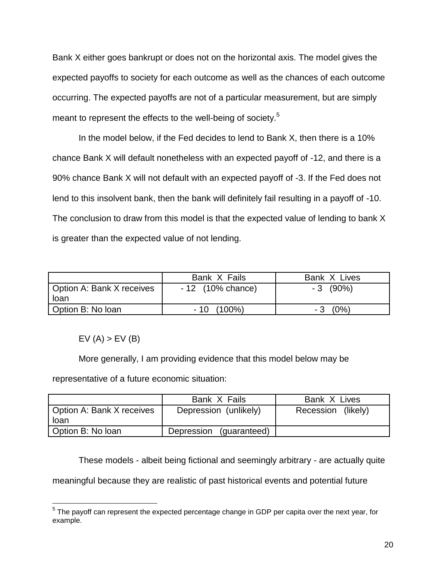Bank X either goes bankrupt or does not on the horizontal axis. The model gives the expected payoffs to society for each outcome as well as the chances of each outcome occurring. The expected payoffs are not of a particular measurement, but are simply meant to represent the effects to the well-being of society.<sup>5</sup>

In the model below, if the Fed decides to lend to Bank X, then there is a 10% chance Bank X will default nonetheless with an expected payoff of -12, and there is a 90% chance Bank X will not default with an expected payoff of -3. If the Fed does not lend to this insolvent bank, then the bank will definitely fail resulting in a payoff of -10. The conclusion to draw from this model is that the expected value of lending to bank X is greater than the expected value of not lending.

|                           | Bank X Fails       | Bank X Lives   |
|---------------------------|--------------------|----------------|
| Option A: Bank X receives | $-12$ (10% chance) | $-3(90\%)$     |
| loan                      |                    |                |
| Option B: No loan         | $-10(100\%)$       | $(0\%)$<br>- 3 |

 $EV(A) > EV(B)$ 

More generally, I am providing evidence that this model below may be

representative of a future economic situation:

|                                   | Bank X Fails            | Bank X Lives       |
|-----------------------------------|-------------------------|--------------------|
| Option A: Bank X receives<br>loan | Depression (unlikely)   | Recession (likely) |
| Option B: No loan                 | Depression (guaranteed) |                    |

These models - albeit being fictional and seemingly arbitrary - are actually quite

meaningful because they are realistic of past historical events and potential future

 5 The payoff can represent the expected percentage change in GDP per capita over the next year, for example.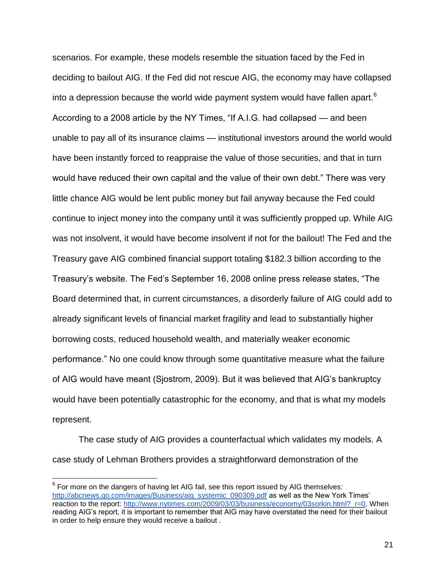scenarios. For example, these models resemble the situation faced by the Fed in deciding to bailout AIG. If the Fed did not rescue AIG, the economy may have collapsed into a depression because the world wide payment system would have fallen apart. $6$ According to a 2008 article by the NY Times, "If A.I.G. had collapsed — and been unable to pay all of its insurance claims — institutional investors around the world would have been instantly forced to reappraise the value of those securities, and that in turn would have reduced their own capital and the value of their own debt." There was very little chance AIG would be lent public money but fail anyway because the Fed could continue to inject money into the company until it was sufficiently propped up. While AIG was not insolvent, it would have become insolvent if not for the bailout! The Fed and the Treasury gave AIG combined financial support totaling \$182.3 billion according to the Treasury's website. The Fed's September 16, 2008 online press release states, "The Board determined that, in current circumstances, a disorderly failure of AIG could add to already significant levels of financial market fragility and lead to substantially higher borrowing costs, reduced household wealth, and materially weaker economic performance." No one could know through some quantitative measure what the failure of AIG would have meant (Sjostrom, 2009). But it was believed that AIG's bankruptcy would have been potentially catastrophic for the economy, and that is what my models represent.

The case study of AIG provides a counterfactual which validates my models. A case study of Lehman Brothers provides a straightforward demonstration of the

 $6$  For more on the dangers of having let AIG fail, see this report issued by AIG themselves: [http://abcnews.go.com/images/Business/aig\\_systemic\\_090309.pdf](http://abcnews.go.com/images/Business/aig_systemic_090309.pdf) as well as the New York Times' reaction to the report: [http://www.nytimes.com/2009/03/03/business/economy/03sorkin.html?\\_r=0.](http://www.nytimes.com/2009/03/03/business/economy/03sorkin.html?_r=0) When reading AIG's report, it is important to remember that AIG may have overstated the need for their bailout in order to help ensure they would receive a bailout .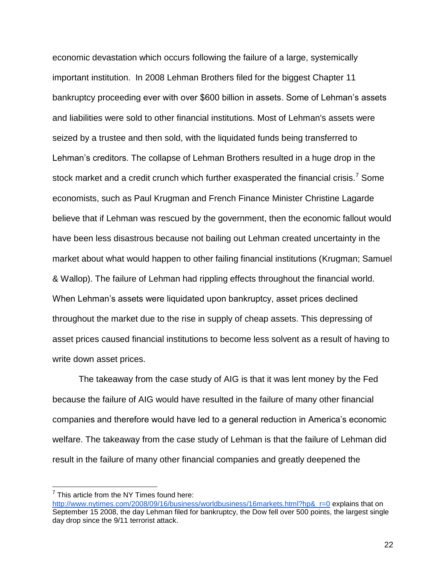economic devastation which occurs following the failure of a large, systemically important institution. In 2008 Lehman Brothers filed for the biggest Chapter 11 bankruptcy proceeding ever with over \$600 billion in assets. Some of Lehman's assets and liabilities were sold to other financial institutions. Most of Lehman's assets were seized by a trustee and then sold, with the liquidated funds being transferred to Lehman's creditors. The collapse of Lehman Brothers resulted in a huge drop in the stock market and a credit crunch which further exasperated the financial crisis.<sup>7</sup> Some economists, such as Paul Krugman and French Finance Minister Christine Lagarde believe that if Lehman was rescued by the government, then the economic fallout would have been less disastrous because not bailing out Lehman created uncertainty in the market about what would happen to other failing financial institutions (Krugman; Samuel & Wallop). The failure of Lehman had rippling effects throughout the financial world. When Lehman's assets were liquidated upon bankruptcy, asset prices declined throughout the market due to the rise in supply of cheap assets. This depressing of asset prices caused financial institutions to become less solvent as a result of having to write down asset prices.

The takeaway from the case study of AIG is that it was lent money by the Fed because the failure of AIG would have resulted in the failure of many other financial companies and therefore would have led to a general reduction in America's economic welfare. The takeaway from the case study of Lehman is that the failure of Lehman did result in the failure of many other financial companies and greatly deepened the

 $7$  This article from the NY Times found here:

http://www.nytimes.com/2008/09/16/business/worldbusiness/16markets.html?hp&r=0 explains that on September 15 2008, the day Lehman filed for bankruptcy, the Dow fell over 500 points, the largest single day drop since the 9/11 terrorist attack.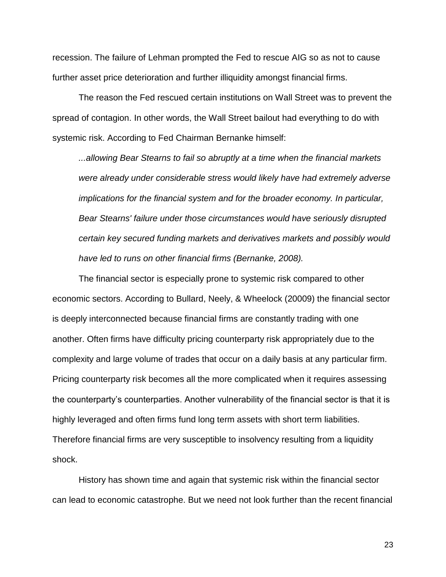recession. The failure of Lehman prompted the Fed to rescue AIG so as not to cause further asset price deterioration and further illiquidity amongst financial firms.

The reason the Fed rescued certain institutions on Wall Street was to prevent the spread of contagion. In other words, the Wall Street bailout had everything to do with systemic risk. According to Fed Chairman Bernanke himself:

*...allowing Bear Stearns to fail so abruptly at a time when the financial markets were already under considerable stress would likely have had extremely adverse implications for the financial system and for the broader economy. In particular, Bear Stearns' failure under those circumstances would have seriously disrupted certain key secured funding markets and derivatives markets and possibly would have led to runs on other financial firms (Bernanke, 2008).*

The financial sector is especially prone to systemic risk compared to other economic sectors. According to Bullard, Neely, & Wheelock (20009) the financial sector is deeply interconnected because financial firms are constantly trading with one another. Often firms have difficulty pricing counterparty risk appropriately due to the complexity and large volume of trades that occur on a daily basis at any particular firm. Pricing counterparty risk becomes all the more complicated when it requires assessing the counterparty's counterparties. Another vulnerability of the financial sector is that it is highly leveraged and often firms fund long term assets with short term liabilities. Therefore financial firms are very susceptible to insolvency resulting from a liquidity shock.

History has shown time and again that systemic risk within the financial sector can lead to economic catastrophe. But we need not look further than the recent financial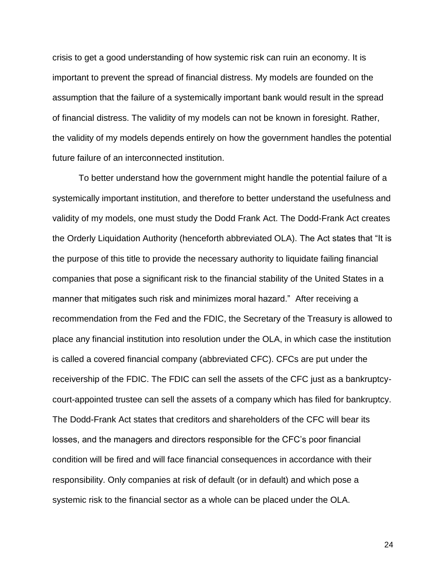crisis to get a good understanding of how systemic risk can ruin an economy. It is important to prevent the spread of financial distress. My models are founded on the assumption that the failure of a systemically important bank would result in the spread of financial distress. The validity of my models can not be known in foresight. Rather, the validity of my models depends entirely on how the government handles the potential future failure of an interconnected institution.

To better understand how the government might handle the potential failure of a systemically important institution, and therefore to better understand the usefulness and validity of my models, one must study the Dodd Frank Act. The Dodd-Frank Act creates the Orderly Liquidation Authority (henceforth abbreviated OLA). The Act states that "It is the purpose of this title to provide the necessary authority to liquidate failing financial companies that pose a significant risk to the financial stability of the United States in a manner that mitigates such risk and minimizes moral hazard." After receiving a recommendation from the Fed and the FDIC, the Secretary of the Treasury is allowed to place any financial institution into resolution under the OLA, in which case the institution is called a covered financial company (abbreviated CFC). CFCs are put under the receivership of the FDIC. The FDIC can sell the assets of the CFC just as a bankruptcycourt-appointed trustee can sell the assets of a company which has filed for bankruptcy. The Dodd-Frank Act states that creditors and shareholders of the CFC will bear its losses, and the managers and directors responsible for the CFC's poor financial condition will be fired and will face financial consequences in accordance with their responsibility. Only companies at risk of default (or in default) and which pose a systemic risk to the financial sector as a whole can be placed under the OLA.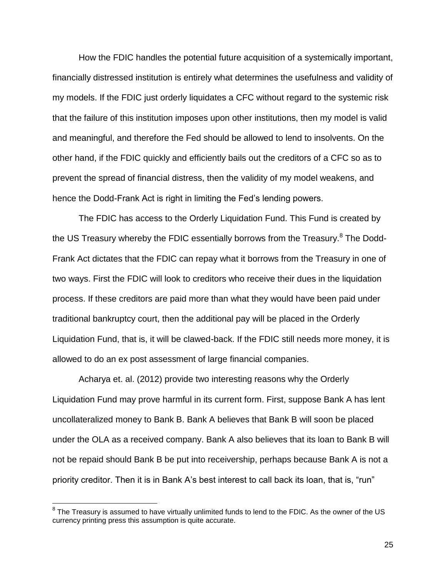How the FDIC handles the potential future acquisition of a systemically important, financially distressed institution is entirely what determines the usefulness and validity of my models. If the FDIC just orderly liquidates a CFC without regard to the systemic risk that the failure of this institution imposes upon other institutions, then my model is valid and meaningful, and therefore the Fed should be allowed to lend to insolvents. On the other hand, if the FDIC quickly and efficiently bails out the creditors of a CFC so as to prevent the spread of financial distress, then the validity of my model weakens, and hence the Dodd-Frank Act is right in limiting the Fed's lending powers.

The FDIC has access to the Orderly Liquidation Fund. This Fund is created by the US Treasury whereby the FDIC essentially borrows from the Treasury.<sup>8</sup> The Dodd-Frank Act dictates that the FDIC can repay what it borrows from the Treasury in one of two ways. First the FDIC will look to creditors who receive their dues in the liquidation process. If these creditors are paid more than what they would have been paid under traditional bankruptcy court, then the additional pay will be placed in the Orderly Liquidation Fund, that is, it will be clawed-back. If the FDIC still needs more money, it is allowed to do an ex post assessment of large financial companies.

Acharya et. al. (2012) provide two interesting reasons why the Orderly Liquidation Fund may prove harmful in its current form. First, suppose Bank A has lent uncollateralized money to Bank B. Bank A believes that Bank B will soon be placed under the OLA as a received company. Bank A also believes that its loan to Bank B will not be repaid should Bank B be put into receivership, perhaps because Bank A is not a priority creditor. Then it is in Bank A's best interest to call back its loan, that is, "run"

 8 The Treasury is assumed to have virtually unlimited funds to lend to the FDIC. As the owner of the US currency printing press this assumption is quite accurate.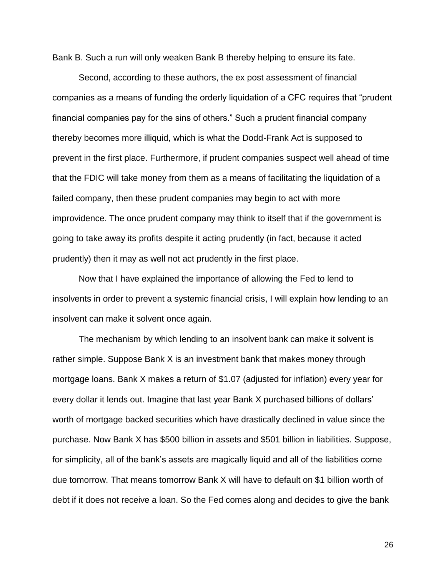Bank B. Such a run will only weaken Bank B thereby helping to ensure its fate.

Second, according to these authors, the ex post assessment of financial companies as a means of funding the orderly liquidation of a CFC requires that "prudent financial companies pay for the sins of others." Such a prudent financial company thereby becomes more illiquid, which is what the Dodd-Frank Act is supposed to prevent in the first place. Furthermore, if prudent companies suspect well ahead of time that the FDIC will take money from them as a means of facilitating the liquidation of a failed company, then these prudent companies may begin to act with more improvidence. The once prudent company may think to itself that if the government is going to take away its profits despite it acting prudently (in fact, because it acted prudently) then it may as well not act prudently in the first place.

Now that I have explained the importance of allowing the Fed to lend to insolvents in order to prevent a systemic financial crisis, I will explain how lending to an insolvent can make it solvent once again.

The mechanism by which lending to an insolvent bank can make it solvent is rather simple. Suppose Bank X is an investment bank that makes money through mortgage loans. Bank X makes a return of \$1.07 (adjusted for inflation) every year for every dollar it lends out. Imagine that last year Bank X purchased billions of dollars' worth of mortgage backed securities which have drastically declined in value since the purchase. Now Bank X has \$500 billion in assets and \$501 billion in liabilities. Suppose, for simplicity, all of the bank's assets are magically liquid and all of the liabilities come due tomorrow. That means tomorrow Bank X will have to default on \$1 billion worth of debt if it does not receive a loan. So the Fed comes along and decides to give the bank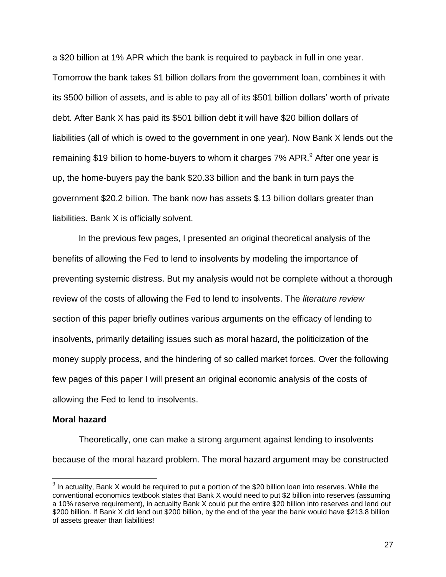a \$20 billion at 1% APR which the bank is required to payback in full in one year. Tomorrow the bank takes \$1 billion dollars from the government loan, combines it with its \$500 billion of assets, and is able to pay all of its \$501 billion dollars' worth of private debt. After Bank X has paid its \$501 billion debt it will have \$20 billion dollars of liabilities (all of which is owed to the government in one year). Now Bank X lends out the remaining \$19 billion to home-buyers to whom it charges 7% APR.<sup>9</sup> After one year is up, the home-buyers pay the bank \$20.33 billion and the bank in turn pays the government \$20.2 billion. The bank now has assets \$.13 billion dollars greater than liabilities. Bank X is officially solvent.

In the previous few pages, I presented an original theoretical analysis of the benefits of allowing the Fed to lend to insolvents by modeling the importance of preventing systemic distress. But my analysis would not be complete without a thorough review of the costs of allowing the Fed to lend to insolvents. The *literature review* section of this paper briefly outlines various arguments on the efficacy of lending to insolvents, primarily detailing issues such as moral hazard, the politicization of the money supply process, and the hindering of so called market forces. Over the following few pages of this paper I will present an original economic analysis of the costs of allowing the Fed to lend to insolvents.

#### **Moral hazard**

Theoretically, one can make a strong argument against lending to insolvents because of the moral hazard problem. The moral hazard argument may be constructed

 $9$  In actuality, Bank X would be required to put a portion of the \$20 billion loan into reserves. While the conventional economics textbook states that Bank X would need to put \$2 billion into reserves (assuming a 10% reserve requirement), in actuality Bank X could put the entire \$20 billion into reserves and lend out \$200 billion. If Bank X did lend out \$200 billion, by the end of the year the bank would have \$213.8 billion of assets greater than liabilities!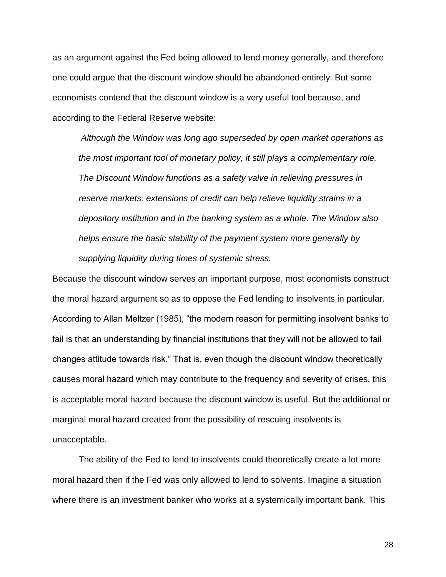as an argument against the Fed being allowed to lend money generally, and therefore one could argue that the discount window should be abandoned entirely. But some economists contend that the discount window is a very useful tool because, and according to the Federal Reserve website:

*Although the Window was long ago superseded by open market operations as the most important tool of monetary policy, it still plays a complementary role. The Discount Window functions as a safety valve in relieving pressures in reserve markets; extensions of credit can help relieve liquidity strains in a depository institution and in the banking system as a whole. The Window also helps ensure the basic stability of the payment system more generally by supplying liquidity during times of systemic stress.* 

Because the discount window serves an important purpose, most economists construct the moral hazard argument so as to oppose the Fed lending to insolvents in particular. According to Allan Meltzer (1985), "the modern reason for permitting insolvent banks to fail is that an understanding by financial institutions that they will not be allowed to fail changes attitude towards risk." That is, even though the discount window theoretically causes moral hazard which may contribute to the frequency and severity of crises, this is acceptable moral hazard because the discount window is useful. But the additional or marginal moral hazard created from the possibility of rescuing insolvents is unacceptable.

The ability of the Fed to lend to insolvents could theoretically create a lot more moral hazard then if the Fed was only allowed to lend to solvents. Imagine a situation where there is an investment banker who works at a systemically important bank. This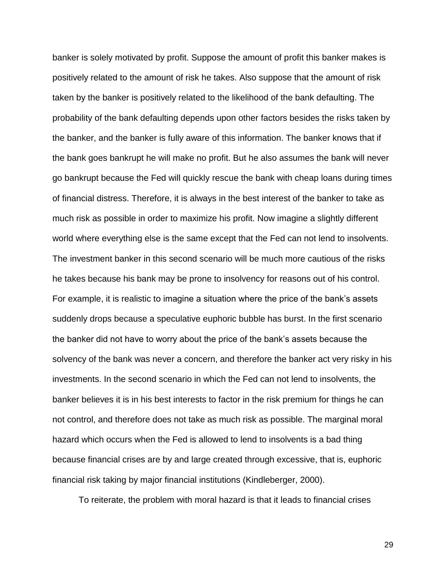banker is solely motivated by profit. Suppose the amount of profit this banker makes is positively related to the amount of risk he takes. Also suppose that the amount of risk taken by the banker is positively related to the likelihood of the bank defaulting. The probability of the bank defaulting depends upon other factors besides the risks taken by the banker, and the banker is fully aware of this information. The banker knows that if the bank goes bankrupt he will make no profit. But he also assumes the bank will never go bankrupt because the Fed will quickly rescue the bank with cheap loans during times of financial distress. Therefore, it is always in the best interest of the banker to take as much risk as possible in order to maximize his profit. Now imagine a slightly different world where everything else is the same except that the Fed can not lend to insolvents. The investment banker in this second scenario will be much more cautious of the risks he takes because his bank may be prone to insolvency for reasons out of his control. For example, it is realistic to imagine a situation where the price of the bank's assets suddenly drops because a speculative euphoric bubble has burst. In the first scenario the banker did not have to worry about the price of the bank's assets because the solvency of the bank was never a concern, and therefore the banker act very risky in his investments. In the second scenario in which the Fed can not lend to insolvents, the banker believes it is in his best interests to factor in the risk premium for things he can not control, and therefore does not take as much risk as possible. The marginal moral hazard which occurs when the Fed is allowed to lend to insolvents is a bad thing because financial crises are by and large created through excessive, that is, euphoric financial risk taking by major financial institutions (Kindleberger, 2000).

To reiterate, the problem with moral hazard is that it leads to financial crises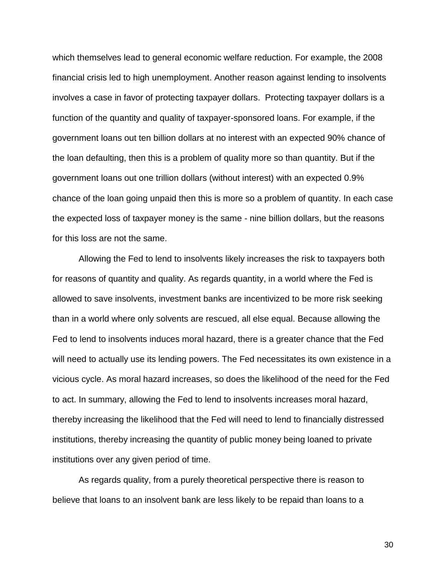which themselves lead to general economic welfare reduction. For example, the 2008 financial crisis led to high unemployment. Another reason against lending to insolvents involves a case in favor of protecting taxpayer dollars. Protecting taxpayer dollars is a function of the quantity and quality of taxpayer-sponsored loans. For example, if the government loans out ten billion dollars at no interest with an expected 90% chance of the loan defaulting, then this is a problem of quality more so than quantity. But if the government loans out one trillion dollars (without interest) with an expected 0.9% chance of the loan going unpaid then this is more so a problem of quantity. In each case the expected loss of taxpayer money is the same - nine billion dollars, but the reasons for this loss are not the same.

Allowing the Fed to lend to insolvents likely increases the risk to taxpayers both for reasons of quantity and quality. As regards quantity, in a world where the Fed is allowed to save insolvents, investment banks are incentivized to be more risk seeking than in a world where only solvents are rescued, all else equal. Because allowing the Fed to lend to insolvents induces moral hazard, there is a greater chance that the Fed will need to actually use its lending powers. The Fed necessitates its own existence in a vicious cycle. As moral hazard increases, so does the likelihood of the need for the Fed to act. In summary, allowing the Fed to lend to insolvents increases moral hazard, thereby increasing the likelihood that the Fed will need to lend to financially distressed institutions, thereby increasing the quantity of public money being loaned to private institutions over any given period of time.

As regards quality, from a purely theoretical perspective there is reason to believe that loans to an insolvent bank are less likely to be repaid than loans to a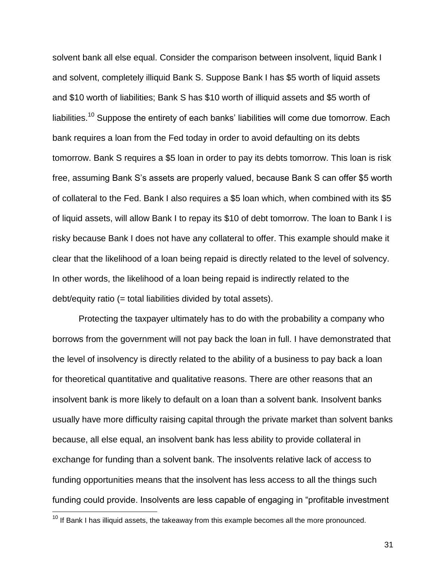solvent bank all else equal. Consider the comparison between insolvent, liquid Bank I and solvent, completely illiquid Bank S. Suppose Bank I has \$5 worth of liquid assets and \$10 worth of liabilities; Bank S has \$10 worth of illiquid assets and \$5 worth of liabilities.<sup>10</sup> Suppose the entirety of each banks' liabilities will come due tomorrow. Each bank requires a loan from the Fed today in order to avoid defaulting on its debts tomorrow. Bank S requires a \$5 loan in order to pay its debts tomorrow. This loan is risk free, assuming Bank S's assets are properly valued, because Bank S can offer \$5 worth of collateral to the Fed. Bank I also requires a \$5 loan which, when combined with its \$5 of liquid assets, will allow Bank I to repay its \$10 of debt tomorrow. The loan to Bank I is risky because Bank I does not have any collateral to offer. This example should make it clear that the likelihood of a loan being repaid is directly related to the level of solvency. In other words, the likelihood of a loan being repaid is indirectly related to the debt/equity ratio (= total liabilities divided by total assets).

Protecting the taxpayer ultimately has to do with the probability a company who borrows from the government will not pay back the loan in full. I have demonstrated that the level of insolvency is directly related to the ability of a business to pay back a loan for theoretical quantitative and qualitative reasons. There are other reasons that an insolvent bank is more likely to default on a loan than a solvent bank. Insolvent banks usually have more difficulty raising capital through the private market than solvent banks because, all else equal, an insolvent bank has less ability to provide collateral in exchange for funding than a solvent bank. The insolvents relative lack of access to funding opportunities means that the insolvent has less access to all the things such funding could provide. Insolvents are less capable of engaging in "profitable investment

 $10$  If Bank I has illiquid assets, the takeaway from this example becomes all the more pronounced.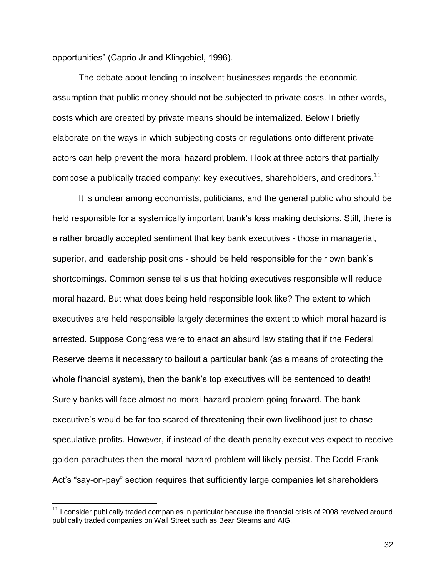opportunities" (Caprio Jr and Klingebiel, 1996).

The debate about lending to insolvent businesses regards the economic assumption that public money should not be subjected to private costs. In other words, costs which are created by private means should be internalized. Below I briefly elaborate on the ways in which subjecting costs or regulations onto different private actors can help prevent the moral hazard problem. I look at three actors that partially compose a publically traded company: key executives, shareholders, and creditors.<sup>11</sup>

It is unclear among economists, politicians, and the general public who should be held responsible for a systemically important bank's loss making decisions. Still, there is a rather broadly accepted sentiment that key bank executives - those in managerial, superior, and leadership positions - should be held responsible for their own bank's shortcomings. Common sense tells us that holding executives responsible will reduce moral hazard. But what does being held responsible look like? The extent to which executives are held responsible largely determines the extent to which moral hazard is arrested. Suppose Congress were to enact an absurd law stating that if the Federal Reserve deems it necessary to bailout a particular bank (as a means of protecting the whole financial system), then the bank's top executives will be sentenced to death! Surely banks will face almost no moral hazard problem going forward. The bank executive's would be far too scared of threatening their own livelihood just to chase speculative profits. However, if instead of the death penalty executives expect to receive golden parachutes then the moral hazard problem will likely persist. The Dodd-Frank Act's "say-on-pay" section requires that sufficiently large companies let shareholders

 $11$  I consider publically traded companies in particular because the financial crisis of 2008 revolved around publically traded companies on Wall Street such as Bear Stearns and AIG.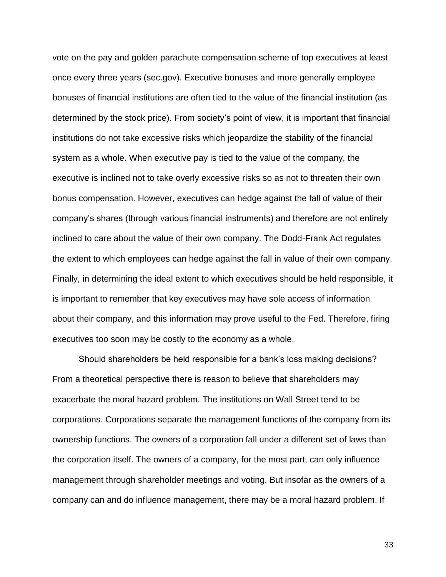vote on the pay and golden parachute compensation scheme of top executives at least once every three years (sec.gov). Executive bonuses and more generally employee bonuses of financial institutions are often tied to the value of the financial institution (as determined by the stock price). From society's point of view, it is important that financial institutions do not take excessive risks which jeopardize the stability of the financial system as a whole. When executive pay is tied to the value of the company, the executive is inclined not to take overly excessive risks so as not to threaten their own bonus compensation. However, executives can hedge against the fall of value of their company's shares (through various financial instruments) and therefore are not entirely inclined to care about the value of their own company. The Dodd-Frank Act regulates the extent to which employees can hedge against the fall in value of their own company. Finally, in determining the ideal extent to which executives should be held responsible, it is important to remember that key executives may have sole access of information about their company, and this information may prove useful to the Fed. Therefore, firing executives too soon may be costly to the economy as a whole.

Should shareholders be held responsible for a bank's loss making decisions? From a theoretical perspective there is reason to believe that shareholders may exacerbate the moral hazard problem. The institutions on Wall Street tend to be corporations. Corporations separate the management functions of the company from its ownership functions. The owners of a corporation fall under a different set of laws than the corporation itself. The owners of a company, for the most part, can only influence management through shareholder meetings and voting. But insofar as the owners of a company can and do influence management, there may be a moral hazard problem. If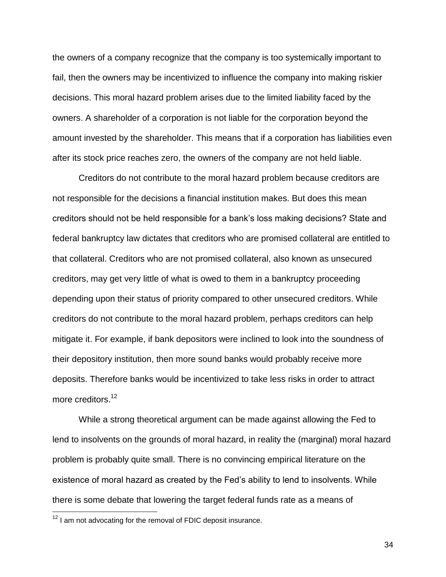the owners of a company recognize that the company is too systemically important to fail, then the owners may be incentivized to influence the company into making riskier decisions. This moral hazard problem arises due to the limited liability faced by the owners. A shareholder of a corporation is not liable for the corporation beyond the amount invested by the shareholder. This means that if a corporation has liabilities even after its stock price reaches zero, the owners of the company are not held liable.

Creditors do not contribute to the moral hazard problem because creditors are not responsible for the decisions a financial institution makes. But does this mean creditors should not be held responsible for a bank's loss making decisions? State and federal bankruptcy law dictates that creditors who are promised collateral are entitled to that collateral. Creditors who are not promised collateral, also known as unsecured creditors, may get very little of what is owed to them in a bankruptcy proceeding depending upon their status of priority compared to other unsecured creditors. While creditors do not contribute to the moral hazard problem, perhaps creditors can help mitigate it. For example, if bank depositors were inclined to look into the soundness of their depository institution, then more sound banks would probably receive more deposits. Therefore banks would be incentivized to take less risks in order to attract more creditors.<sup>12</sup>

While a strong theoretical argument can be made against allowing the Fed to lend to insolvents on the grounds of moral hazard, in reality the (marginal) moral hazard problem is probably quite small. There is no convincing empirical literature on the existence of moral hazard as created by the Fed's ability to lend to insolvents. While there is some debate that lowering the target federal funds rate as a means of

 $12$  I am not advocating for the removal of FDIC deposit insurance.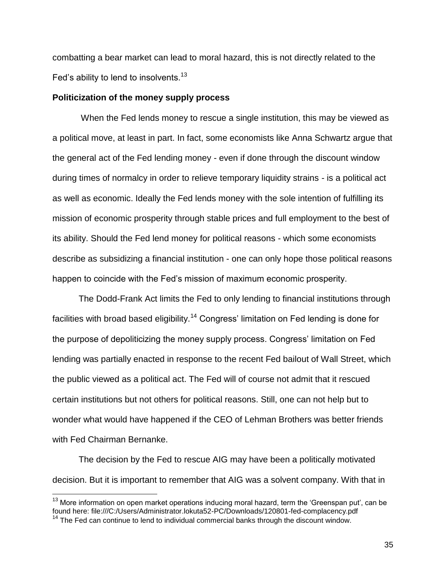combatting a bear market can lead to moral hazard, this is not directly related to the Fed's ability to lend to insolvents.<sup>13</sup>

#### **Politicization of the money supply process**

When the Fed lends money to rescue a single institution, this may be viewed as a political move, at least in part. In fact, some economists like Anna Schwartz argue that the general act of the Fed lending money - even if done through the discount window during times of normalcy in order to relieve temporary liquidity strains - is a political act as well as economic. Ideally the Fed lends money with the sole intention of fulfilling its mission of economic prosperity through stable prices and full employment to the best of its ability. Should the Fed lend money for political reasons - which some economists describe as subsidizing a financial institution - one can only hope those political reasons happen to coincide with the Fed's mission of maximum economic prosperity.

The Dodd-Frank Act limits the Fed to only lending to financial institutions through facilities with broad based eligibility.<sup>14</sup> Congress' limitation on Fed lending is done for the purpose of depoliticizing the money supply process. Congress' limitation on Fed lending was partially enacted in response to the recent Fed bailout of Wall Street, which the public viewed as a political act. The Fed will of course not admit that it rescued certain institutions but not others for political reasons. Still, one can not help but to wonder what would have happened if the CEO of Lehman Brothers was better friends with Fed Chairman Bernanke.

The decision by the Fed to rescue AIG may have been a politically motivated decision. But it is important to remember that AIG was a solvent company. With that in

 $\overline{a}$ 

 $13$  More information on open market operations inducing moral hazard, term the 'Greenspan put', can be found here: file:///C:/Users/Administrator.lokuta52-PC/Downloads/120801-fed-complacency.pdf

 $14$  The Fed can continue to lend to individual commercial banks through the discount window.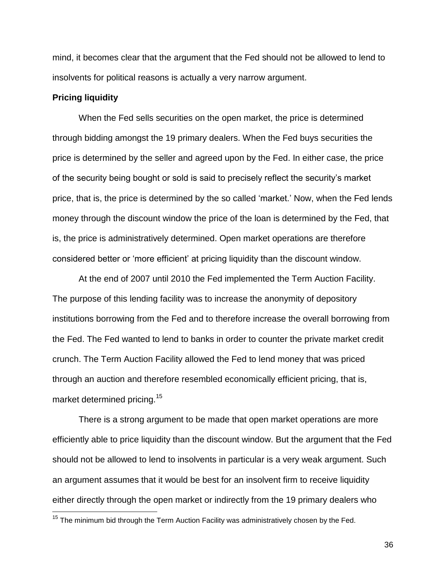mind, it becomes clear that the argument that the Fed should not be allowed to lend to insolvents for political reasons is actually a very narrow argument.

## **Pricing liquidity**

When the Fed sells securities on the open market, the price is determined through bidding amongst the 19 primary dealers. When the Fed buys securities the price is determined by the seller and agreed upon by the Fed. In either case, the price of the security being bought or sold is said to precisely reflect the security's market price, that is, the price is determined by the so called 'market.' Now, when the Fed lends money through the discount window the price of the loan is determined by the Fed, that is, the price is administratively determined. Open market operations are therefore considered better or 'more efficient' at pricing liquidity than the discount window.

At the end of 2007 until 2010 the Fed implemented the Term Auction Facility. The purpose of this lending facility was to increase the anonymity of depository institutions borrowing from the Fed and to therefore increase the overall borrowing from the Fed. The Fed wanted to lend to banks in order to counter the private market credit crunch. The Term Auction Facility allowed the Fed to lend money that was priced through an auction and therefore resembled economically efficient pricing, that is, market determined pricing.<sup>15</sup>

There is a strong argument to be made that open market operations are more efficiently able to price liquidity than the discount window. But the argument that the Fed should not be allowed to lend to insolvents in particular is a very weak argument. Such an argument assumes that it would be best for an insolvent firm to receive liquidity either directly through the open market or indirectly from the 19 primary dealers who

 $15$  The minimum bid through the Term Auction Facility was administratively chosen by the Fed.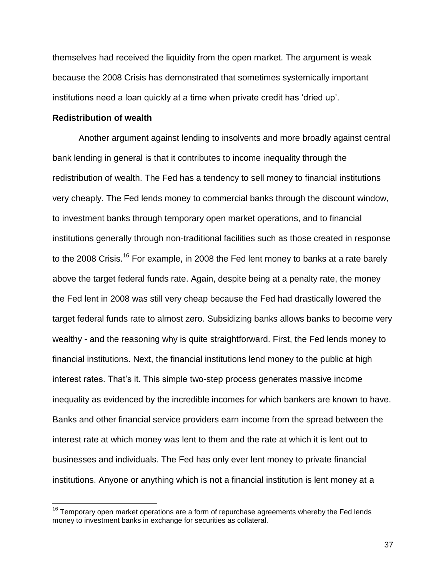themselves had received the liquidity from the open market. The argument is weak because the 2008 Crisis has demonstrated that sometimes systemically important institutions need a loan quickly at a time when private credit has 'dried up'.

## **Redistribution of wealth**

Another argument against lending to insolvents and more broadly against central bank lending in general is that it contributes to income inequality through the redistribution of wealth. The Fed has a tendency to sell money to financial institutions very cheaply. The Fed lends money to commercial banks through the discount window, to investment banks through temporary open market operations, and to financial institutions generally through non-traditional facilities such as those created in response to the 2008 Crisis.<sup>16</sup> For example, in 2008 the Fed lent money to banks at a rate barely above the target federal funds rate. Again, despite being at a penalty rate, the money the Fed lent in 2008 was still very cheap because the Fed had drastically lowered the target federal funds rate to almost zero. Subsidizing banks allows banks to become very wealthy - and the reasoning why is quite straightforward. First, the Fed lends money to financial institutions. Next, the financial institutions lend money to the public at high interest rates. That's it. This simple two-step process generates massive income inequality as evidenced by the incredible incomes for which bankers are known to have. Banks and other financial service providers earn income from the spread between the interest rate at which money was lent to them and the rate at which it is lent out to businesses and individuals. The Fed has only ever lent money to private financial institutions. Anyone or anything which is not a financial institution is lent money at a

 $16$  Temporary open market operations are a form of repurchase agreements whereby the Fed lends money to investment banks in exchange for securities as collateral.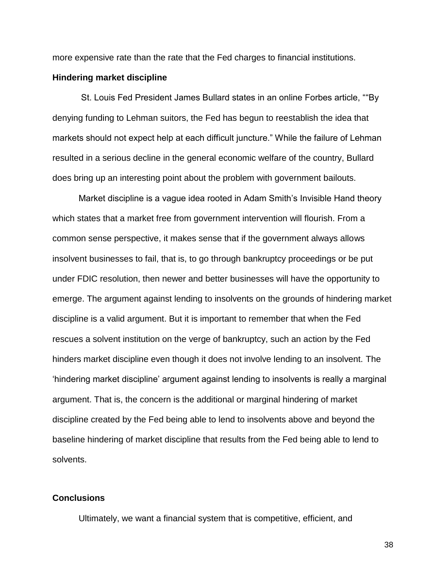more expensive rate than the rate that the Fed charges to financial institutions.

## **Hindering market discipline**

St. Louis Fed President James Bullard states in an online Forbes article, ""By denying funding to Lehman suitors, the Fed has begun to reestablish the idea that markets should not expect help at each difficult juncture." While the failure of Lehman resulted in a serious decline in the general economic welfare of the country, Bullard does bring up an interesting point about the problem with government bailouts.

Market discipline is a vague idea rooted in Adam Smith's Invisible Hand theory which states that a market free from government intervention will flourish. From a common sense perspective, it makes sense that if the government always allows insolvent businesses to fail, that is, to go through bankruptcy proceedings or be put under FDIC resolution, then newer and better businesses will have the opportunity to emerge. The argument against lending to insolvents on the grounds of hindering market discipline is a valid argument. But it is important to remember that when the Fed rescues a solvent institution on the verge of bankruptcy, such an action by the Fed hinders market discipline even though it does not involve lending to an insolvent. The 'hindering market discipline' argument against lending to insolvents is really a marginal argument. That is, the concern is the additional or marginal hindering of market discipline created by the Fed being able to lend to insolvents above and beyond the baseline hindering of market discipline that results from the Fed being able to lend to solvents.

## **Conclusions**

Ultimately, we want a financial system that is competitive, efficient, and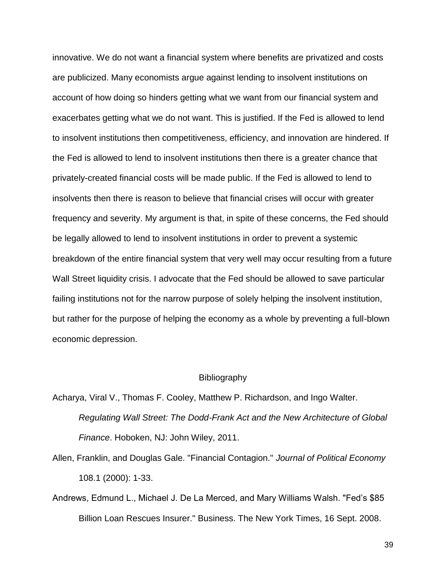innovative. We do not want a financial system where benefits are privatized and costs are publicized. Many economists argue against lending to insolvent institutions on account of how doing so hinders getting what we want from our financial system and exacerbates getting what we do not want. This is justified. If the Fed is allowed to lend to insolvent institutions then competitiveness, efficiency, and innovation are hindered. If the Fed is allowed to lend to insolvent institutions then there is a greater chance that privately-created financial costs will be made public. If the Fed is allowed to lend to insolvents then there is reason to believe that financial crises will occur with greater frequency and severity. My argument is that, in spite of these concerns, the Fed should be legally allowed to lend to insolvent institutions in order to prevent a systemic breakdown of the entire financial system that very well may occur resulting from a future Wall Street liquidity crisis. I advocate that the Fed should be allowed to save particular failing institutions not for the narrow purpose of solely helping the insolvent institution, but rather for the purpose of helping the economy as a whole by preventing a full-blown economic depression.

#### Bibliography

Acharya, Viral V., Thomas F. Cooley, Matthew P. Richardson, and Ingo Walter. *Regulating Wall Street: The Dodd-Frank Act and the New Architecture of Global Finance*. Hoboken, NJ: John Wiley, 2011.

- Allen, Franklin, and Douglas Gale. "Financial Contagion." *Journal of Political Economy* 108.1 (2000): 1-33.
- Andrews, Edmund L., Michael J. De La Merced, and Mary Williams Walsh. "Fed's \$85 Billion Loan Rescues Insurer." Business. The New York Times, 16 Sept. 2008.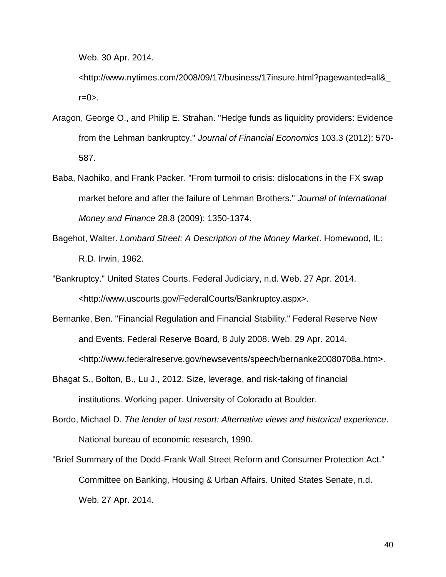Web. 30 Apr. 2014.

<http://www.nytimes.com/2008/09/17/business/17insure.html?pagewanted=all&\_  $r = 0$ .

- Aragon, George O., and Philip E. Strahan. "Hedge funds as liquidity providers: Evidence from the Lehman bankruptcy." *Journal of Financial Economics* 103.3 (2012): 570- 587.
- Baba, Naohiko, and Frank Packer. "From turmoil to crisis: dislocations in the FX swap market before and after the failure of Lehman Brothers." *Journal of International Money and Finance* 28.8 (2009): 1350-1374.
- Bagehot, Walter. *Lombard Street: A Description of the Money Market*. Homewood, IL: R.D. Irwin, 1962.
- "Bankruptcy." United States Courts. Federal Judiciary, n.d. Web. 27 Apr. 2014. <http://www.uscourts.gov/FederalCourts/Bankruptcy.aspx>.
- Bernanke, Ben. "Financial Regulation and Financial Stability." Federal Reserve New and Events. Federal Reserve Board, 8 July 2008. Web. 29 Apr. 2014. <http://www.federalreserve.gov/newsevents/speech/bernanke20080708a.htm>.
- Bhagat S., Bolton, B., Lu J., 2012. Size, leverage, and risk-taking of financial institutions. Working paper. University of Colorado at Boulder.
- Bordo, Michael D. *The lender of last resort: Alternative views and historical experience*. National bureau of economic research, 1990.
- "Brief Summary of the Dodd-Frank Wall Street Reform and Consumer Protection Act." Committee on Banking, Housing & Urban Affairs. United States Senate, n.d. Web. 27 Apr. 2014.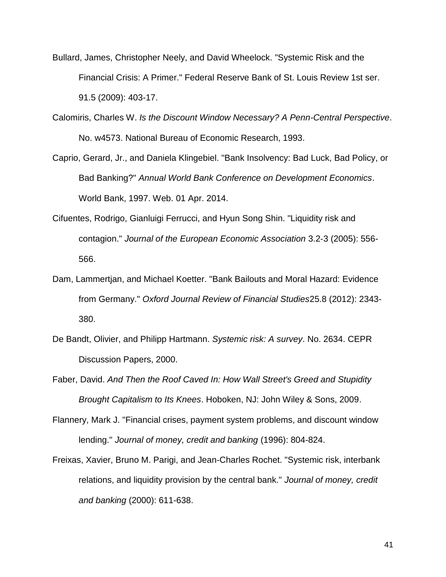- Bullard, James, Christopher Neely, and David Wheelock. "Systemic Risk and the Financial Crisis: A Primer." Federal Reserve Bank of St. Louis Review 1st ser. 91.5 (2009): 403-17.
- Calomiris, Charles W. *Is the Discount Window Necessary? A Penn-Central Perspective*. No. w4573. National Bureau of Economic Research, 1993.
- Caprio, Gerard, Jr., and Daniela Klingebiel. "Bank Insolvency: Bad Luck, Bad Policy, or Bad Banking?" *Annual World Bank Conference on Development Economics*. World Bank, 1997. Web. 01 Apr. 2014.
- Cifuentes, Rodrigo, Gianluigi Ferrucci, and Hyun Song Shin. "Liquidity risk and contagion." *Journal of the European Economic Association* 3.2‐3 (2005): 556- 566.
- Dam, Lammertjan, and Michael Koetter. "Bank Bailouts and Moral Hazard: Evidence from Germany." *Oxford Journal Review of Financial Studies*25.8 (2012): 2343- 380.
- De Bandt, Olivier, and Philipp Hartmann. *Systemic risk: A survey*. No. 2634. CEPR Discussion Papers, 2000.
- Faber, David. *And Then the Roof Caved In: How Wall Street's Greed and Stupidity Brought Capitalism to Its Knees*. Hoboken, NJ: John Wiley & Sons, 2009.
- Flannery, Mark J. "Financial crises, payment system problems, and discount window lending." *Journal of money, credit and banking* (1996): 804-824.
- Freixas, Xavier, Bruno M. Parigi, and Jean-Charles Rochet. "Systemic risk, interbank relations, and liquidity provision by the central bank." *Journal of money, credit and banking* (2000): 611-638.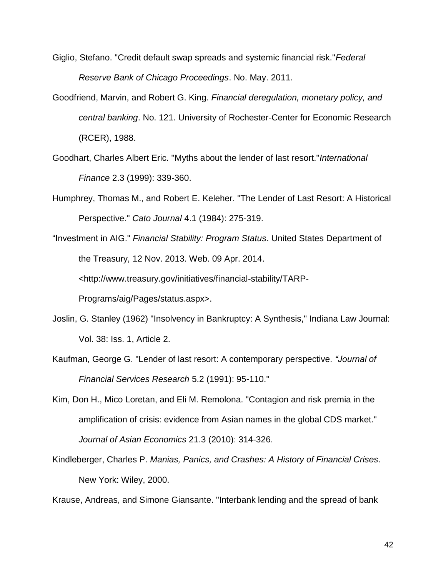- Giglio, Stefano. "Credit default swap spreads and systemic financial risk."*Federal Reserve Bank of Chicago Proceedings*. No. May. 2011.
- Goodfriend, Marvin, and Robert G. King. *Financial deregulation, monetary policy, and central banking*. No. 121. University of Rochester-Center for Economic Research (RCER), 1988.
- Goodhart, Charles Albert Eric. "Myths about the lender of last resort."*International Finance* 2.3 (1999): 339-360.
- Humphrey, Thomas M., and Robert E. Keleher. "The Lender of Last Resort: A Historical Perspective." *Cato Journal* 4.1 (1984): 275-319.
- "Investment in AIG." *Financial Stability: Program Status*. United States Department of the Treasury, 12 Nov. 2013. Web. 09 Apr. 2014. <http://www.treasury.gov/initiatives/financial-stability/TARP-Programs/aig/Pages/status.aspx>.
- Joslin, G. Stanley (1962) "Insolvency in Bankruptcy: A Synthesis," Indiana Law Journal: Vol. 38: Iss. 1, Article 2.
- Kaufman, George G. "Lender of last resort: A contemporary perspective. *"Journal of Financial Services Research* 5.2 (1991): 95-110."
- Kim, Don H., Mico Loretan, and Eli M. Remolona. "Contagion and risk premia in the amplification of crisis: evidence from Asian names in the global CDS market." *Journal of Asian Economics* 21.3 (2010): 314-326.
- Kindleberger, Charles P. *Manias, Panics, and Crashes: A History of Financial Crises*. New York: Wiley, 2000.

Krause, Andreas, and Simone Giansante. "Interbank lending and the spread of bank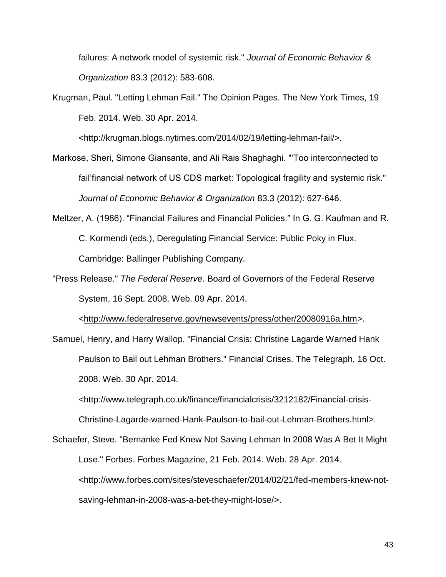failures: A network model of systemic risk." *Journal of Economic Behavior & Organization* 83.3 (2012): 583-608.

Krugman, Paul. "Letting Lehman Fail." The Opinion Pages. The New York Times, 19 Feb. 2014. Web. 30 Apr. 2014.

<http://krugman.blogs.nytimes.com/2014/02/19/letting-lehman-fail/>.

- Markose, Sheri, Simone Giansante, and Ali Rais Shaghaghi. "'Too interconnected to fail'financial network of US CDS market: Topological fragility and systemic risk." *Journal of Economic Behavior & Organization* 83.3 (2012): 627-646.
- Meltzer, A. (1986). "Financial Failures and Financial Policies." In G. G. Kaufman and R. C. Kormendi (eds.), Deregulating Financial Service: Public Poky in Flux. Cambridge: Ballinger Publishing Company.
- "Press Release." *The Federal Reserve*. Board of Governors of the Federal Reserve System, 16 Sept. 2008. Web. 09 Apr. 2014.

[<http://www.federalreserve.gov/newsevents/press/other/20080916a.htm>](http://www.federalreserve.gov/newsevents/press/other/20080916a.htm).

Samuel, Henry, and Harry Wallop. "Financial Crisis: Christine Lagarde Warned Hank Paulson to Bail out Lehman Brothers." Financial Crises. The Telegraph, 16 Oct. 2008. Web. 30 Apr. 2014.

<http://www.telegraph.co.uk/finance/financialcrisis/3212182/Financial-crisis-

Christine-Lagarde-warned-Hank-Paulson-to-bail-out-Lehman-Brothers.html>.

Schaefer, Steve. "Bernanke Fed Knew Not Saving Lehman In 2008 Was A Bet It Might Lose." Forbes. Forbes Magazine, 21 Feb. 2014. Web. 28 Apr. 2014. <http://www.forbes.com/sites/steveschaefer/2014/02/21/fed-members-knew-notsaving-lehman-in-2008-was-a-bet-they-might-lose/>.